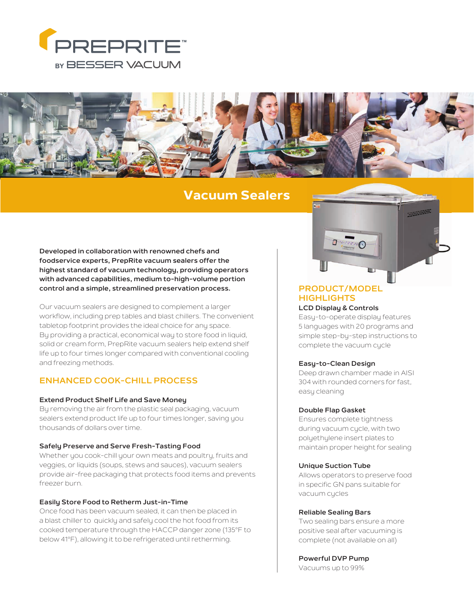



# **Vacuum Sealers**

**Developed in collaboration with renowned chefs and foodservice experts, PrepRite vacuum sealers offer the highest standard of vacuum technology, providing operators with advanced capabilities, medium to-high-volume portion control and a simple, streamlined preservation process.**

Our vacuum sealers are designed to complement a larger workflow, including prep tables and blast chillers. The convenient tabletop footprint provides the ideal choice for any space. By providing a practical, economical way to store food in liquid, solid or cream form, PrepRite vacuum sealers help extend shelf life up to four times longer compared with conventional cooling and freezing methods.

## **ENHANCED COOK-CHILL PROCESS**

#### **Extend Product Shelf Life and Save Money**

By removing the air from the plastic seal packaging, vacuum sealers extend product life up to four times longer, saving you thousands of dollars over time.

#### **Safely Preserve and Serve Fresh-Tasting Food**

Whether you cook-chill your own meats and poultry, fruits and veggies, or liquids (soups, stews and sauces), vacuum sealers provide air-free packaging that protects food items and prevents freezer burn.

#### **Easily Store Food to Retherm Just-in-Time**

Once food has been vacuum sealed, it can then be placed in a blast chiller to quickly and safely cool the hot food from its cooked temperature through the HACCP danger zone (135°F to below 41°F), allowing it to be refrigerated until retherming.



## **PRODUCT/MODEL HIGHLIGHTS**

### **LCD Display & Controls**

Easy-to-operate display features 5 languages with 20 programs and simple step-by-step instructions to complete the vacuum cycle

#### **Easy-to-Clean Design**

Deep drawn chamber made in AISI 304 with rounded corners for fast, easy cleaning

#### **Double Flap Gasket**

Ensures complete tightness during vacuum cycle, with two polyethylene insert plates to maintain proper height for sealing

#### **Unique Suction Tube**

Allows operators to preserve food in specific GN pans suitable for vacuum cycles

#### **Reliable Sealing Bars**

Two sealing bars ensure a more positive seal after vacuuming is complete (not available on all)

**Powerful DVP Pump** Vacuums up to 99%